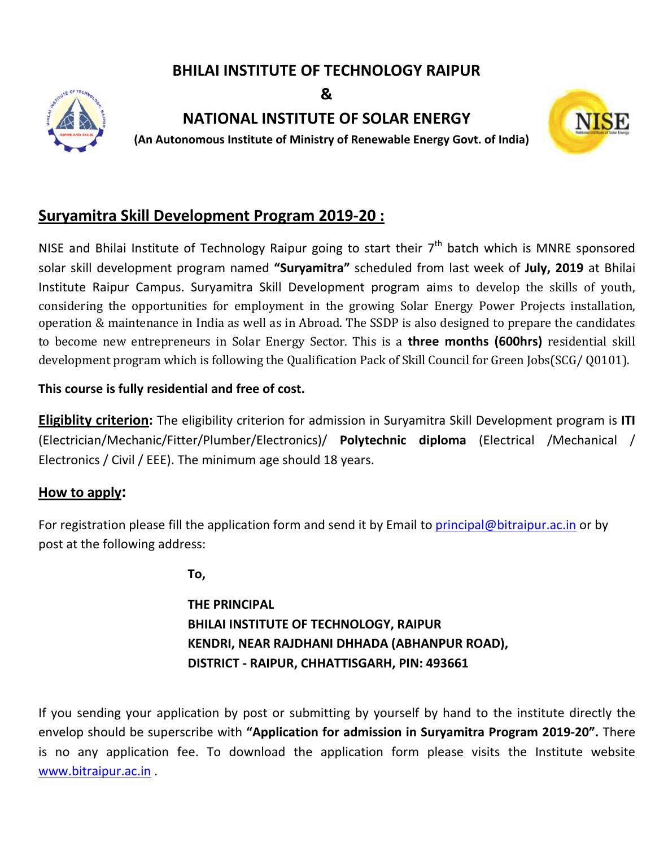## **BHILAI INSTITUTE OF TECHNOLOGY RAIPUR**

**&**



**NATIONAL INSTITUTE OF SOLAR ENERGY**

 **(An Autonomous Institute of Ministry of Renewable Energy Govt India)**



# **Suryamitra Skill Development Program 2019-20 :**

NISE and Bhilai Institute of Technology Raipur going to start their  $7<sup>th</sup>$  batch which is MNRE sponsored solar skill development program named **"Suryamitra"** scheduled from last week of Institute Raipur Campus. Suryamitra Skill Development program a ims to develop the skills of youth, considering the opportunities for employment in the growing Solar Energy Power Projects installation, considering the opportunities for employment in the growing Solar Energy Power Projects installation,<br>operation & maintenance in India as well as in Abroad. The SSDP is also designed to prepare the candidates to become new entrepreneurs in Solar Energy Sector. This is a **three months (600hrs)** residential skill development program which is following the Qualification Pack of Skill Council for Green Jo Jobs(SCG/ Q0101). **An Autonomous Institute of Ministry of Renewable Energy Govt. of India)<br>
<b>Gover 1918** and Skill Development Program 2019-20:<br>
Allai Institute of Technology Raipur going to start their 7<sup>th</sup> batch which is MNRE sponsored<br>

#### **This course is fully residential and free of cost.**

**Eligiblity criterion:** The eligibility criterion for admission in Suryamitra Skill Development program is ITI (Electrician/Mechanic/Fitter/Plumber/Electronics)/ Polytechnic diploma (Electrical /Mechanical / Electronics / Civil / EEE). The minimum age should 18 years.

### **How to apply:**

For registration please fill the application form and send it by Email to **principal@bitraipur.ac.in** or by post at the following address:

**To,**

**THE PRINCIPAL BHILAI INSTITUTE OF TECHNOLOGY, RAIPUR KENDRI, NEAR RAJDHANI DHHADA (ABHANPUR ROAD), DISTRICT - RAIPUR, CHHATTISGARH, PIN: 493661** 

If you sending your application by post or submitting by yourself by hand to the institute directly the envelop should be superscribe with **"Application for admission in Suryamitra Program 201 ssion 2019-20".** There is no any application fee. To download the application form please visits the Institute website www.bitraipur.ac.in .